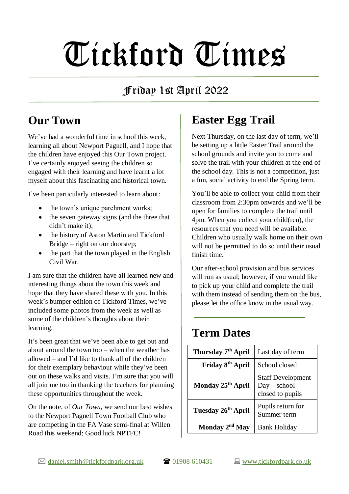# Tickford Times

## Friday 1st April 2022

## **Our Town**

We've had a wonderful time in school this week. learning all about Newport Pagnell, and I hope that the children have enjoyed this Our Town project. I've certainly enjoyed seeing the children so engaged with their learning and have learnt a lot myself about this fascinating and historical town.

I've been particularly interested to learn about:

- the town's unique parchment works;
- the seven gateway signs (and the three that didn't make it);
- the history of Aston Martin and Tickford Bridge – right on our doorstep;
- the part that the town played in the English Civil War.

I am sure that the children have all learned new and interesting things about the town this week and hope that they have shared these with you. In this week's bumper edition of Tickford Times, we've included some photos from the week as well as some of the children's thoughts about their learning.

It's been great that we've been able to get out and about around the town too – when the weather has allowed – and I'd like to thank all of the children for their exemplary behaviour while they've been out on these walks and visits. I'm sure that you will all join me too in thanking the teachers for planning these opportunities throughout the week.

On the note, of *Our Town*, we send our best wishes to the Newport Pagnell Town Football Club who are competing in the FA Vase semi-final at Willen Road this weekend; Good luck NPTFC!

## **Easter Egg Trail**

Next Thursday, on the last day of term, we'll be setting up a little Easter Trail around the school grounds and invite you to come and solve the trail with your children at the end of the school day. This is not a competition, just a fun, social activity to end the Spring term.

You'll be able to collect your child from their classroom from 2:30pm onwards and we'll be open for families to complete the trail until 4pm. When you collect your child(ren), the resources that you need will be available. Children who usually walk home on their own will not be permitted to do so until their usual finish time.

Our after-school provision and bus services will run as usual; however, if you would like to pick up your child and complete the trail with them instead of sending them on the bus. please let the office know in the usual way.

#### **Term Dates**

| Thursday 7 <sup>th</sup> April | Last day of term                                               |
|--------------------------------|----------------------------------------------------------------|
| Friday 8 <sup>th</sup> April   | School closed                                                  |
| Monday 25 <sup>th</sup> April  | <b>Staff Development</b><br>$Day - school$<br>closed to pupils |
| Tuesday 26 <sup>th</sup> April | Pupils return for<br>Summer term                               |
| Monday 2 <sup>nd</sup> May     | <b>Bank Holiday</b>                                            |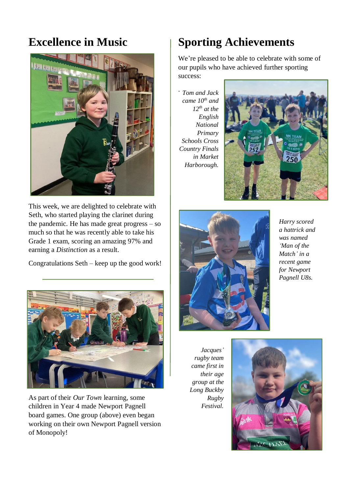#### **Excellence in Music**



This week, we are delighted to celebrate with Seth, who started playing the clarinet during the pandemic. He has made great progress – so much so that he was recently able to take his Grade 1 exam, scoring an amazing 97% and earning a *Distinction* as a result.

Congratulations Seth – keep up the good work!



As part of their *Our Town* learning, some children in Year 4 made Newport Pagnell board games. One group (above) even began working on their own Newport Pagnell version of Monopoly!

## **Sporting Achievements**

We're pleased to be able to celebrate with some of our pupils who have achieved further sporting success:

. *Tom and Jack came 10th and*   $12^{th}$  *at the English National Primary Schools Cross Country Finals in Market Harborough.* 





*Harry scored a hattrick and was named 'Man of the Match' in a recent game for Newport Pagnell U8s.*

*Jacques' rugby team came first in their age group at the Long Buckby Rugby Festival.*

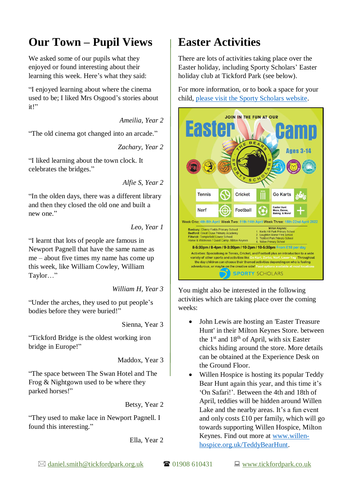#### **Our Town – Pupil Views**

We asked some of our pupils what they enjoyed or found interesting about their learning this week. Here's what they said:

"I enjoyed learning about where the cinema used to be; I liked Mrs Osgood's stories about  $it"$ 

*Ameilia, Year 2*

"The old cinema got changed into an arcade."

*Zachary, Year 2*

"I liked learning about the town clock. It celebrates the bridges."

*Alfie S, Year 2*

"In the olden days, there was a different library and then they closed the old one and built a new one."

*Leo, Year 1*

"I learnt that lots of people are famous in Newport Pagnell that have the same name as me – about five times my name has come up this week, like William Cowley, William Taylor…"

*William H, Year 3*

"Under the arches, they used to put people's bodies before they were buried!"

Sienna, Year 3

"Tickford Bridge is the oldest working iron bridge in Europe!"

Maddox, Year 3

"The space between The Swan Hotel and The Frog & Nightgown used to be where they parked horses!"

Betsy, Year 2

"They used to make lace in Newport Pagnell. I found this interesting."

Ella, Year 2

#### **Easter Activities**

There are lots of activities taking place over the Easter holiday, including Sporty Scholars' Easter holiday club at Tickford Park (see below).

For more information, or to book a space for your child, [please visit the Sporty Scholars website.](https://www.sportyscholars.com/easter-holiday-camp-full)



You might also be interested in the following activities which are taking place over the coming weeks:

- John Lewis are hosting an 'Easter Treasure' Hunt' in their Milton Keynes Store. between the  $1<sup>st</sup>$  and  $18<sup>th</sup>$  of April, with six Easter chicks hiding around the store. More details can be obtained at the Experience Desk on the Ground Floor.
- Willen Hospice is hosting its popular Teddy Bear Hunt again this year, and this time it's 'On Safari!'. Between the 4th and 18th of April, teddies will be hidden around Willen Lake and the nearby areas. It's a fun event and only costs £10 per family, which will go towards supporting Willen Hospice, Milton Keynes. Find out more at [www.willen](http://www.willen-hospice.org.uk/TeddyBearHunt)[hospice.org.uk/TeddyBearHunt.](http://www.willen-hospice.org.uk/TeddyBearHunt)